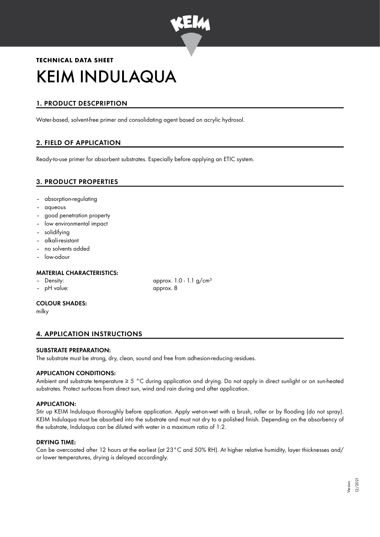

# **TECHNICAL DATA SHEET** KEIM INDULAQUA

# 1. PRODUCT DESCPRIPTION

Water-based, solvent-free primer and consolidating agent based on acrylic hydrosol.

# 2. FIELD OF APPLICATION

Ready-to-use primer for absorbent substrates. Especially before applying an ETIC system.

# 3. PRODUCT PROPERTIES

- absorption-regulating
- aqueous
- good penetration property
- low environmental impact
- solidifying
- alkali-resistant
- no solvents added
- low-odour

## MATERIAL CHARACTERISTICS:

- 
- pH value: approx. 8

## COLOUR SHADES:

milky

# 4. APPLICATION INSTRUCTIONS

## SUBSTRATE PREPARATION:

The substrate must be strong, dry, clean, sound and free from adhesion-reducing residues.

## APPLICATION CONDITIONS:

Ambient and substrate temperature ≥ 5 °C during application and drying. Do not apply in direct sunlight or on sun-heated substrates. Protect surfaces from direct sun, wind and rain during and after application.

## APPLICATION:

Stir up KEIM Indulaqua thoroughly before application. Apply wet-on-wet with a brush, roller or by flooding (do not spray). KEIM Indulaqua must be absorbed into the substrate and must not dry to a polished finish. Depending on the absorbency of the substrate, Indulaqua can be diluted with water in a maximum ratio of 1:2.

## DRYING TIME:

Can be overcoated after 12 hours at the earliest (at 23°C and 50% RH). At higher relative humidity, layer thicknesses and/ or lower temperatures, drying is delayed accordingly.

– Density: approx. 1.0 - 1.1 g/cm<sup>3</sup>